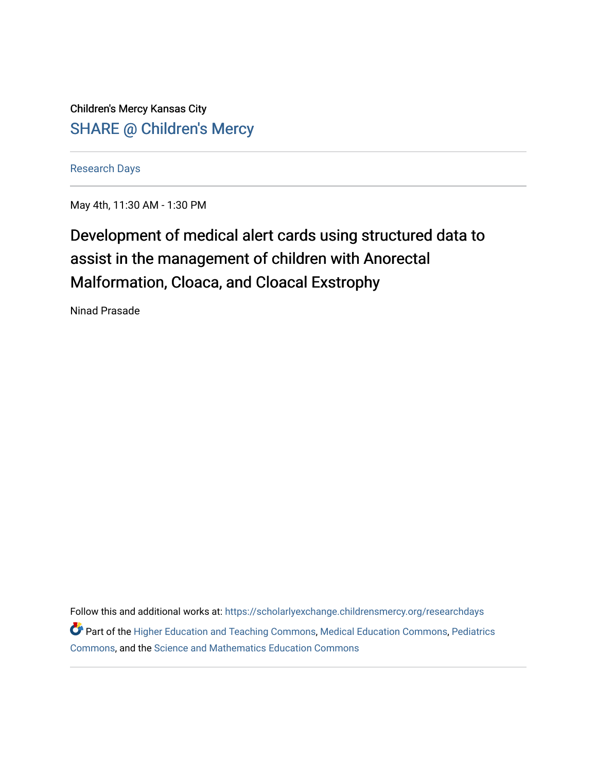Children's Mercy Kansas City SHARE @ Children's Mercy

[Research Days](https://scholarlyexchange.childrensmercy.org/researchdays)

May 4th, 11:30 AM - 1:30 PM

## Development of medical alert cards using structured data to assist in the management of children with Anorectal Malformation, Cloaca, and Cloacal Exstrophy

Ninad Prasade

Follow this and additional works at: [https://scholarlyexchange.childrensmercy.org/researchdays](https://scholarlyexchange.childrensmercy.org/researchdays?utm_source=scholarlyexchange.childrensmercy.org%2Fresearchdays%2FGME_Research_Days_2021%2Fresearchday1%2F1&utm_medium=PDF&utm_campaign=PDFCoverPages)  Part of the [Higher Education and Teaching Commons](http://network.bepress.com/hgg/discipline/806?utm_source=scholarlyexchange.childrensmercy.org%2Fresearchdays%2FGME_Research_Days_2021%2Fresearchday1%2F1&utm_medium=PDF&utm_campaign=PDFCoverPages), [Medical Education Commons](http://network.bepress.com/hgg/discipline/1125?utm_source=scholarlyexchange.childrensmercy.org%2Fresearchdays%2FGME_Research_Days_2021%2Fresearchday1%2F1&utm_medium=PDF&utm_campaign=PDFCoverPages), [Pediatrics](http://network.bepress.com/hgg/discipline/700?utm_source=scholarlyexchange.childrensmercy.org%2Fresearchdays%2FGME_Research_Days_2021%2Fresearchday1%2F1&utm_medium=PDF&utm_campaign=PDFCoverPages)  [Commons](http://network.bepress.com/hgg/discipline/700?utm_source=scholarlyexchange.childrensmercy.org%2Fresearchdays%2FGME_Research_Days_2021%2Fresearchday1%2F1&utm_medium=PDF&utm_campaign=PDFCoverPages), and the [Science and Mathematics Education Commons](http://network.bepress.com/hgg/discipline/800?utm_source=scholarlyexchange.childrensmercy.org%2Fresearchdays%2FGME_Research_Days_2021%2Fresearchday1%2F1&utm_medium=PDF&utm_campaign=PDFCoverPages)